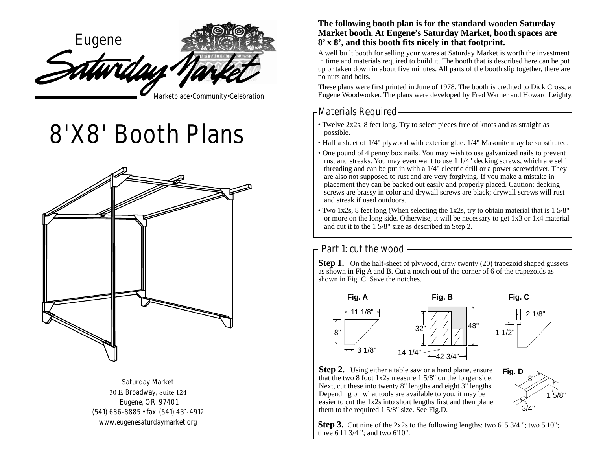

# **8'X8' Booth Plans**



**Saturday Market** 30 E. Broadway, Suite 124 Eugene, OR 97401 (541) 686-8885 • fax (541) 431-4912 www.eugenesaturdaymarket.org

#### **The following booth plan is for the standard wooden Saturday Market booth. At Eugene's Saturday Market, booth spaces are 8' x 8', and this booth fits nicely in that footprint.**

A well built booth for selling your wares at Saturday Market is worth the investment in time and materials required to build it. The booth that is described here can be put up or taken down in about five minutes. All parts of the booth slip together, there are no nuts and bolts.

These plans were first printed in June of 1978. The booth is credited to Dick Cross, a Eugene Woodworker. The plans were developed by Fred Warner and Howard Leighty.

# -Materials Required $-$

- Twelve 2x2s, 8 feet long. Try to select pieces free of knots and as straight as possible.
- Half a sheet of 1/4" plywood with exterior glue. 1/4" Masonite may be substituted.
- One pound of 4 penny box nails. You may wish to use galvanized nails to prevent rust and streaks. You may even want to use 1 1/4" decking screws, which are self threading and can be put in with a 1/4" electric drill or a power screwdriver. They are also not supposed to rust and are very forgiving. If you make a mistake in placement they can be backed out easily and properly placed. Caution: decking screws are brassy in color and drywall screws are black; drywall screws will rust and streak if used outdoors.
- Two 1x2s, 8 feet long (When selecting the 1x2s, try to obtain material that is 1 5/8" or more on the long side. Otherwise, it will be necessary to get 1x3 or 1x4 material and cut it to the 1 5/8" size as described in Step 2.

### Part 1: cut the wood -

**Step 1.** On the half-sheet of plywood, draw twenty (20) trapezoid shaped gussets as shown in Fig A and B. Cut a notch out of the corner of 6 of the trapezoids as shown in Fig. C. Save the notches.



**Step 2.** Using either a table saw or a hand plane, ensure that the two 8 foot 1x2s measure 1 5/8" on the longer side. Next, cut these into twenty 8" lengths and eight 3" lengths. Depending on what tools are available to you, it may be easier to cut the 1x2s into short lengths first and then plane them to the required 1 5/8" size. See Fig.D.



**Step 3.** Cut nine of the 2x2s to the following lengths: two 6' 5 3/4"; two 5'10"; three 6'11 3/4 "; and two 6'10".